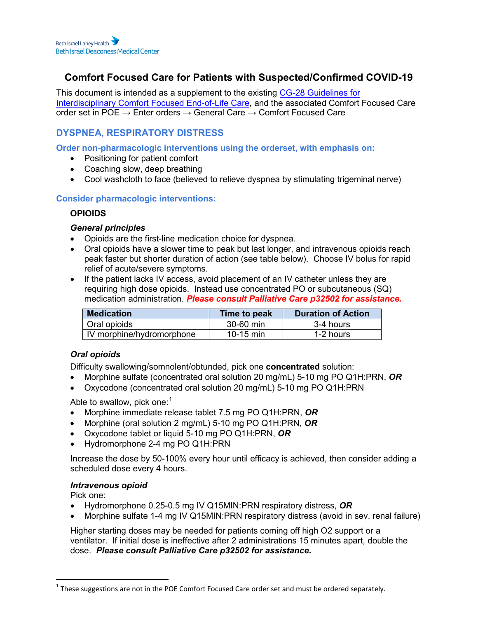# **Comfort Focused Care for Patients with Suspected/Confirmed COVID-19**

This document is intended as a supplement to the existing [CG-28 Guidelines for](https://apps.bidmc.org/cms/display.asp?i=29999)  [Interdisciplinary Comfort Focused End-of-Life Care,](https://apps.bidmc.org/cms/display.asp?i=29999) and the associated Comfort Focused Care order set in POE  $\rightarrow$  Enter orders  $\rightarrow$  General Care  $\rightarrow$  Comfort Focused Care

## **DYSPNEA, RESPIRATORY DISTRESS**

**Order non-pharmacologic interventions using the orderset, with emphasis on:**

- Positioning for patient comfort
- Coaching slow, deep breathing
- Cool washcloth to face (believed to relieve dyspnea by stimulating trigeminal nerve)

## **Consider pharmacologic interventions:**

## **OPIOIDS**

## *General principles*

- Opioids are the first-line medication choice for dyspnea.
- Oral opioids have a slower time to peak but last longer, and intravenous opioids reach peak faster but shorter duration of action (see table below). Choose IV bolus for rapid relief of acute/severe symptoms.
- If the patient lacks IV access, avoid placement of an IV catheter unless they are requiring high dose opioids. Instead use concentrated PO or subcutaneous (SQ) medication administration. *Please consult Palliative Care p32502 for assistance.*

| <b>Medication</b>         | Time to peak | <b>Duration of Action</b> |
|---------------------------|--------------|---------------------------|
| Oral opioids              | 30-60 min    | 3-4 hours                 |
| IV morphine/hydromorphone | 10-15 min    | 1-2 hours                 |

## *Oral opioids*

Difficulty swallowing/somnolent/obtunded, pick one **concentrated** solution:

- Morphine sulfate (concentrated oral solution 20 mg/mL) 5-10 mg PO Q1H:PRN, *OR*
- Oxycodone (concentrated oral solution 20 mg/mL) 5-10 mg PO Q1H:PRN

Able to swallow, pick one: $^{\rm 1}$  $^{\rm 1}$  $^{\rm 1}$ 

- Morphine immediate release tablet 7.5 mg PO Q1H:PRN, *OR*
- Morphine (oral solution 2 mg/mL) 5-10 mg PO Q1H:PRN, *OR*
- Oxycodone tablet or liquid 5-10 mg PO Q1H:PRN, *OR*
- Hydromorphone 2-4 mg PO Q1H:PRN

Increase the dose by 50-100% every hour until efficacy is achieved, then consider adding a scheduled dose every 4 hours.

## *Intravenous opioid*

Pick one:

- Hydromorphone 0.25-0.5 mg IV Q15MIN:PRN respiratory distress, *OR*
- Morphine sulfate 1-4 mg IV Q15MIN:PRN respiratory distress (avoid in sev. renal failure)

Higher starting doses may be needed for patients coming off high O2 support or a ventilator. If initial dose is ineffective after 2 administrations 15 minutes apart, double the dose. *Please consult Palliative Care p32502 for assistance.*

<span id="page-0-0"></span> $1$  These suggestions are not in the POE Comfort Focused Care order set and must be ordered separately.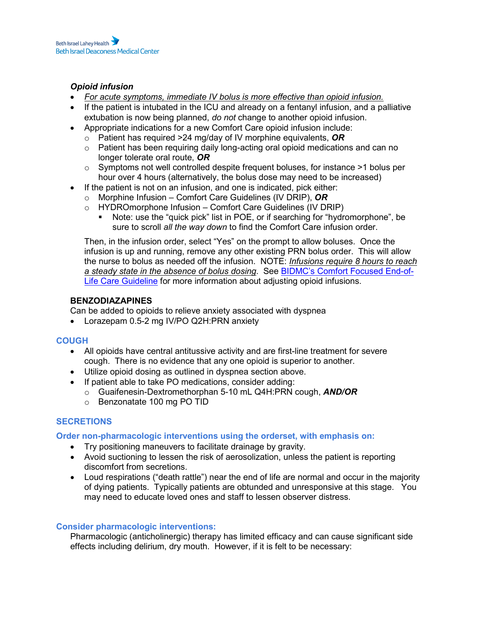## *Opioid infusion*

- *For acute symptoms, immediate IV bolus is more effective than opioid infusion.*
- If the patient is intubated in the ICU and already on a fentanyl infusion, and a palliative extubation is now being planned, *do not* change to another opioid infusion.
- Appropriate indications for a new Comfort Care opioid infusion include:
	- o Patient has required >24 mg/day of IV morphine equivalents, *OR*
	- $\circ$  Patient has been requiring daily long-acting oral opioid medications and can no longer tolerate oral route, *OR*
	- $\circ$  Symptoms not well controlled despite frequent boluses, for instance  $>1$  bolus per hour over 4 hours (alternatively, the bolus dose may need to be increased)
- If the patient is not on an infusion, and one is indicated, pick either:
	- o Morphine Infusion Comfort Care Guidelines (IV DRIP), *OR*
	- o HYDROmorphone Infusion Comfort Care Guidelines (IV DRIP)<br>• Note: use the "quick pick" list in POF or if searching for "hydr
		- Note: use the "quick pick" list in POE, or if searching for "hydromorphone", be sure to scroll *all the way down* to find the Comfort Care infusion order.

Then, in the infusion order, select "Yes" on the prompt to allow boluses. Once the infusion is up and running, remove any other existing PRN bolus order. This will allow the nurse to bolus as needed off the infusion. NOTE: *Infusions require 8 hours to reach a steady state in the absence of bolus dosing*. See [BIDMC's Comfort Focused End-of-](https://apps.bidmc.org/cms/display.asp?i=29999)[Life Care Guideline](https://apps.bidmc.org/cms/display.asp?i=29999) for more information about adjusting opioid infusions.

## **BENZODIAZAPINES**

Can be added to opioids to relieve anxiety associated with dyspnea

• Lorazepam 0.5-2 mg IV/PO Q2H:PRN anxiety

## **COUGH**

- All opioids have central antitussive activity and are first-line treatment for severe cough. There is no evidence that any one opioid is superior to another.
- Utilize opioid dosing as outlined in dyspnea section above.
- If patient able to take PO medications, consider adding:
	- o Guaifenesin-Dextromethorphan 5-10 mL Q4H:PRN cough, *AND/OR*
	- o Benzonatate 100 mg PO TID

## **SECRETIONS**

**Order non-pharmacologic interventions using the orderset, with emphasis on:**

- Try positioning maneuvers to facilitate drainage by gravity.
- Avoid suctioning to lessen the risk of aerosolization, unless the patient is reporting discomfort from secretions.
- Loud respirations ("death rattle") near the end of life are normal and occur in the majority of dying patients. Typically patients are obtunded and unresponsive at this stage. You may need to educate loved ones and staff to lessen observer distress.

#### **Consider pharmacologic interventions:**

Pharmacologic (anticholinergic) therapy has limited efficacy and can cause significant side effects including delirium, dry mouth. However, if it is felt to be necessary: